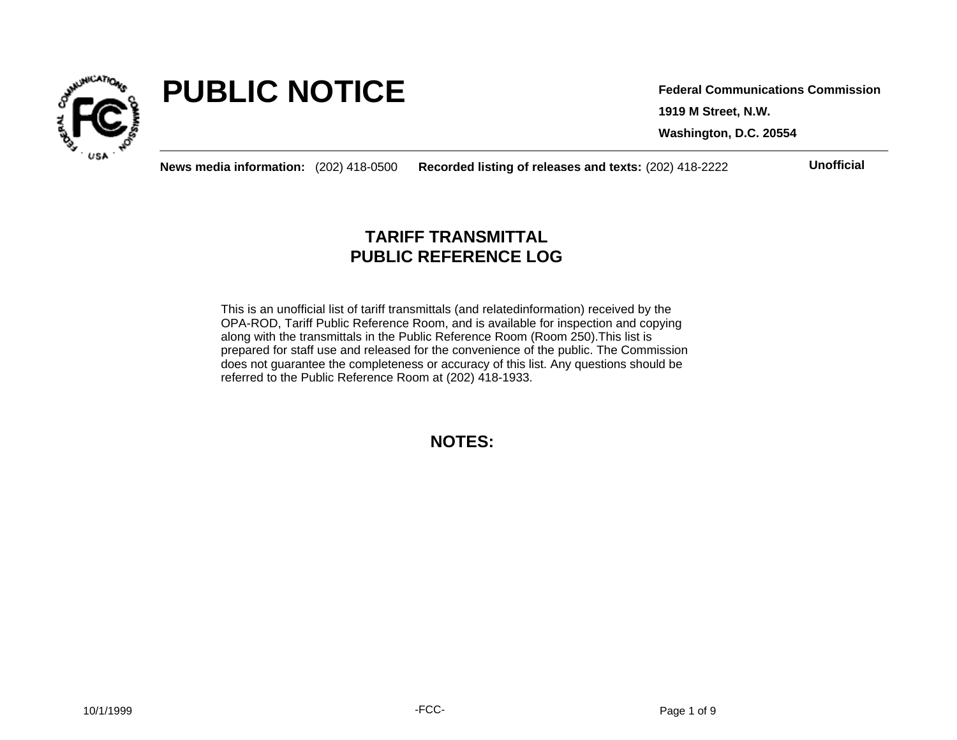

# **PUBLIC NOTICE**

**1919 M Street, N.W. Washington, D.C. 20554 Federal Communications Commission**

**News media information:** (202) 418-0500 **Recorded listing of releases and texts:** (202) 418-2222 **Unofficial**

## **TARIFF TRANSMITTAL PUBLIC REFERENCE LOG**

This is an unofficial list of tariff transmittals (and relatedinformation) received by the OPA-ROD, Tariff Public Reference Room, and is available for inspection and copying along with the transmittals in the Public Reference Room (Room 250).This list is prepared for staff use and released for the convenience of the public. The Commission does not guarantee the completeness or accuracy of this list. Any questions should be referred to the Public Reference Room at (202) 418-1933.

**NOTES:**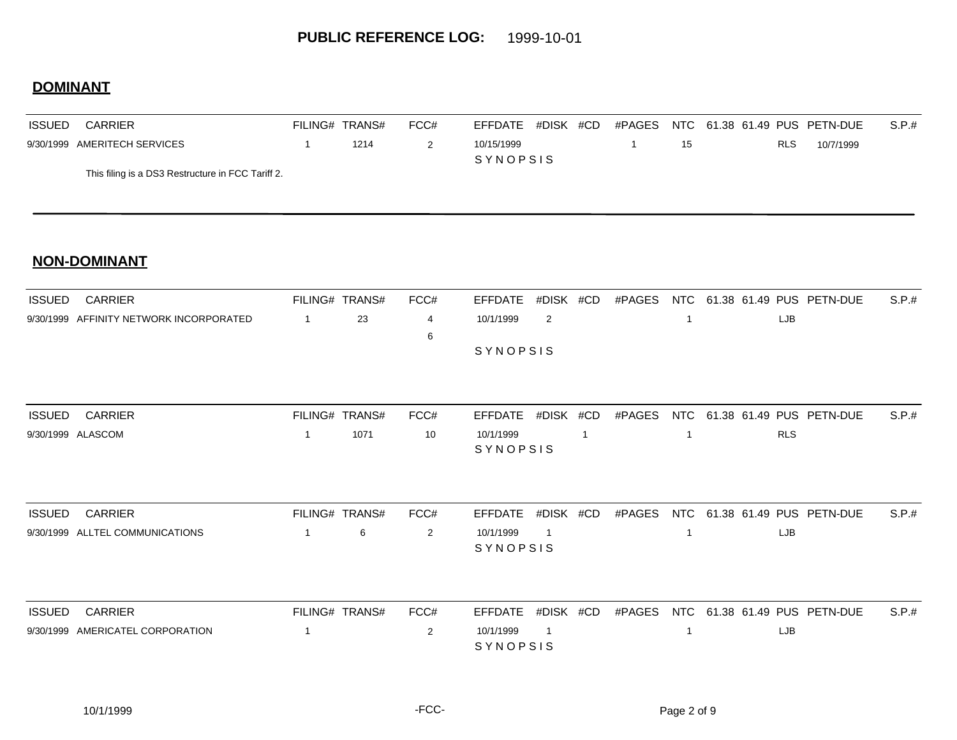### **DOMINANT**

| <b>ISSUED</b> | <b>CARRIER</b>                                    | FILING# TRANS# |      | FCC# | EFFDATE #DISK #CD |  | #PAGES |    |            | NTC 61.38 61.49 PUS PETN-DUE | S.P.t. |
|---------------|---------------------------------------------------|----------------|------|------|-------------------|--|--------|----|------------|------------------------------|--------|
|               | 9/30/1999 AMERITECH SERVICES                      |                | 1214 |      | 10/15/1999        |  |        | 15 | <b>RLS</b> | 10/7/1999                    |        |
|               |                                                   |                |      |      | <b>SYNOPSIS</b>   |  |        |    |            |                              |        |
|               | This filing is a DS3 Restructure in FCC Tariff 2. |                |      |      |                   |  |        |    |            |                              |        |

| <b>ISSUED</b> | CARRIER                                 | FILING# TRANS# |    | FCC# | EFFDATE #DISK #CD |  |  |     | #PAGES NTC 61.38 61.49 PUS PETN-DUE | S.P.# |
|---------------|-----------------------------------------|----------------|----|------|-------------------|--|--|-----|-------------------------------------|-------|
|               | 9/30/1999 AFFINITY NETWORK INCORPORATED |                | 23 |      | 10/1/1999         |  |  | LJB |                                     |       |
|               |                                         |                |    |      |                   |  |  |     |                                     |       |
|               |                                         |                |    |      | <b>SYNOPSIS</b>   |  |  |     |                                     |       |
|               |                                         |                |    |      |                   |  |  |     |                                     |       |

| <b>ISSUED</b> | CARRIER           | FILING# TRANS# |      | FCC# |           |  |  | EFFDATE #DISK #CD #PAGES NTC 61.38 61.49 PUS PETN-DUE | S.P.t. |
|---------------|-------------------|----------------|------|------|-----------|--|--|-------------------------------------------------------|--------|
|               | 9/30/1999 ALASCOM |                | 1071 | 10   | 10/1/1999 |  |  | <b>RLS</b>                                            |        |
|               |                   |                |      |      | SYNOPSIS  |  |  |                                                       |        |

| ISSUED | CARRIER                         | FILING# TRANS# | FCC# |                 |  |  | EFFDATE #DISK #CD #PAGES NTC 61.38 61.49 PUS PETN-DUE S.P.# |  |
|--------|---------------------------------|----------------|------|-----------------|--|--|-------------------------------------------------------------|--|
|        | 9/30/1999 ALLTEL COMMUNICATIONS | . ი            |      | 10/1/1999       |  |  | LJB                                                         |  |
|        |                                 |                |      | <b>SYNOPSIS</b> |  |  |                                                             |  |

| <b>ISSUED</b> | CARRIER                          | FILING# TRANS# | FCC# |                 |  |  | EFFDATE #DISK #CD #PAGES NTC 61.38 61.49 PUS PETN-DUE | S.P.t. |
|---------------|----------------------------------|----------------|------|-----------------|--|--|-------------------------------------------------------|--------|
|               | 9/30/1999 AMERICATEL CORPORATION |                |      | 10/1/1999       |  |  | LJB                                                   |        |
|               |                                  |                |      | <b>SYNOPSIS</b> |  |  |                                                       |        |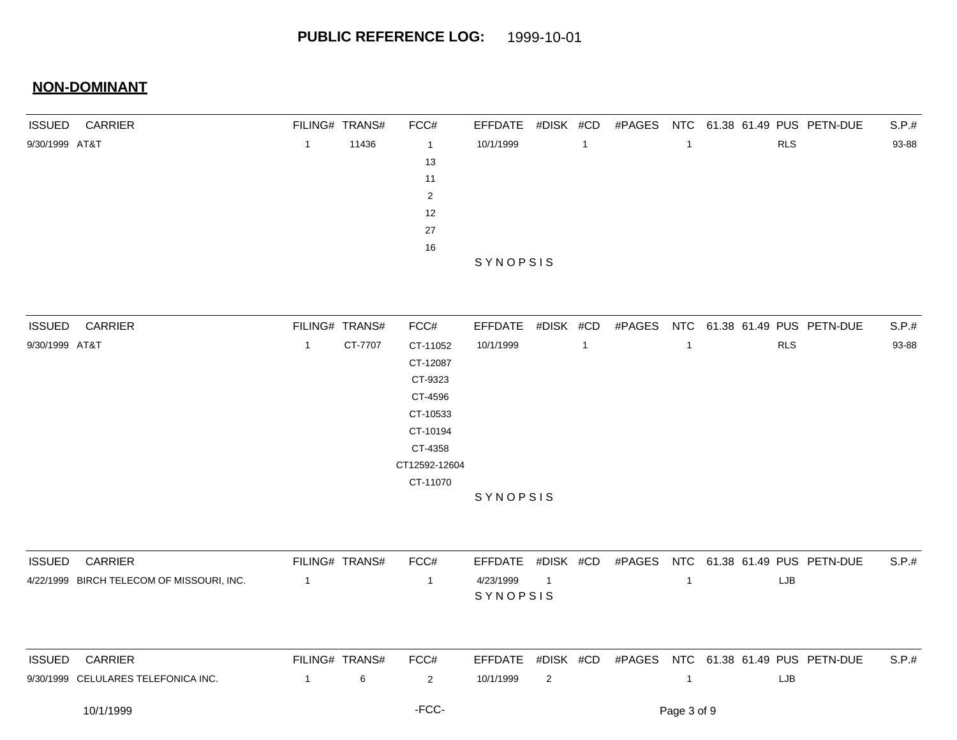| <b>ISSUED</b>  | CARRIER                                   |                | FILING# TRANS# | FCC#           | <b>EFFDATE</b> | #DISK #CD      |                | #PAGES | <b>NTC</b>     |  |            | 61.38 61.49 PUS PETN-DUE            | S.P.# |
|----------------|-------------------------------------------|----------------|----------------|----------------|----------------|----------------|----------------|--------|----------------|--|------------|-------------------------------------|-------|
| 9/30/1999 AT&T |                                           | $\mathbf{1}$   | 11436          | $\overline{1}$ | 10/1/1999      |                | $\overline{1}$ |        | $\mathbf{1}$   |  | RLS        |                                     | 93-88 |
|                |                                           |                |                | 13             |                |                |                |        |                |  |            |                                     |       |
|                |                                           |                |                | 11             |                |                |                |        |                |  |            |                                     |       |
|                |                                           |                |                | $\overline{2}$ |                |                |                |        |                |  |            |                                     |       |
|                |                                           |                |                | 12             |                |                |                |        |                |  |            |                                     |       |
|                |                                           |                |                | 27             |                |                |                |        |                |  |            |                                     |       |
|                |                                           |                |                | $16\,$         |                |                |                |        |                |  |            |                                     |       |
|                |                                           |                |                |                | SYNOPSIS       |                |                |        |                |  |            |                                     |       |
|                |                                           |                |                |                |                |                |                |        |                |  |            |                                     |       |
| <b>ISSUED</b>  | <b>CARRIER</b>                            |                | FILING# TRANS# | FCC#           | <b>EFFDATE</b> | #DISK #CD      |                |        |                |  |            | #PAGES NTC 61.38 61.49 PUS PETN-DUE | S.P.# |
| 9/30/1999 AT&T |                                           | $\mathbf{1}$   | CT-7707        | CT-11052       | 10/1/1999      |                | $\overline{1}$ |        | $\mathbf{1}$   |  | <b>RLS</b> |                                     | 93-88 |
|                |                                           |                |                | CT-12087       |                |                |                |        |                |  |            |                                     |       |
|                |                                           |                |                | CT-9323        |                |                |                |        |                |  |            |                                     |       |
|                |                                           |                |                | CT-4596        |                |                |                |        |                |  |            |                                     |       |
|                |                                           |                |                | CT-10533       |                |                |                |        |                |  |            |                                     |       |
|                |                                           |                |                | CT-10194       |                |                |                |        |                |  |            |                                     |       |
|                |                                           |                |                | CT-4358        |                |                |                |        |                |  |            |                                     |       |
|                |                                           |                |                | CT12592-12604  |                |                |                |        |                |  |            |                                     |       |
|                |                                           |                |                | CT-11070       |                |                |                |        |                |  |            |                                     |       |
|                |                                           |                |                |                | SYNOPSIS       |                |                |        |                |  |            |                                     |       |
| <b>ISSUED</b>  | CARRIER                                   |                | FILING# TRANS# | FCC#           | <b>EFFDATE</b> | #DISK #CD      |                | #PAGES |                |  |            | NTC 61.38 61.49 PUS PETN-DUE        | S.P.# |
|                | 4/22/1999 BIRCH TELECOM OF MISSOURI, INC. | $\overline{1}$ |                | $\overline{1}$ | 4/23/1999      | $\overline{1}$ |                |        | $\overline{1}$ |  | LJB        |                                     |       |
|                |                                           |                |                |                | SYNOPSIS       |                |                |        |                |  |            |                                     |       |
|                |                                           |                |                |                |                |                |                |        |                |  |            |                                     |       |
| <b>ISSUED</b>  | CARRIER                                   |                | FILING# TRANS# | FCC#           | <b>EFFDATE</b> | #DISK #CD      |                |        |                |  |            | #PAGES NTC 61.38 61.49 PUS PETN-DUE | S.P.# |
|                | 9/30/1999 CELULARES TELEFONICA INC.       | $\overline{1}$ | 6              | $\overline{2}$ | 10/1/1999      | $\overline{2}$ |                |        | $\mathbf{1}$   |  | LJB        |                                     |       |
|                | 10/1/1999                                 |                |                | -FCC-          |                |                |                |        | Page 3 of 9    |  |            |                                     |       |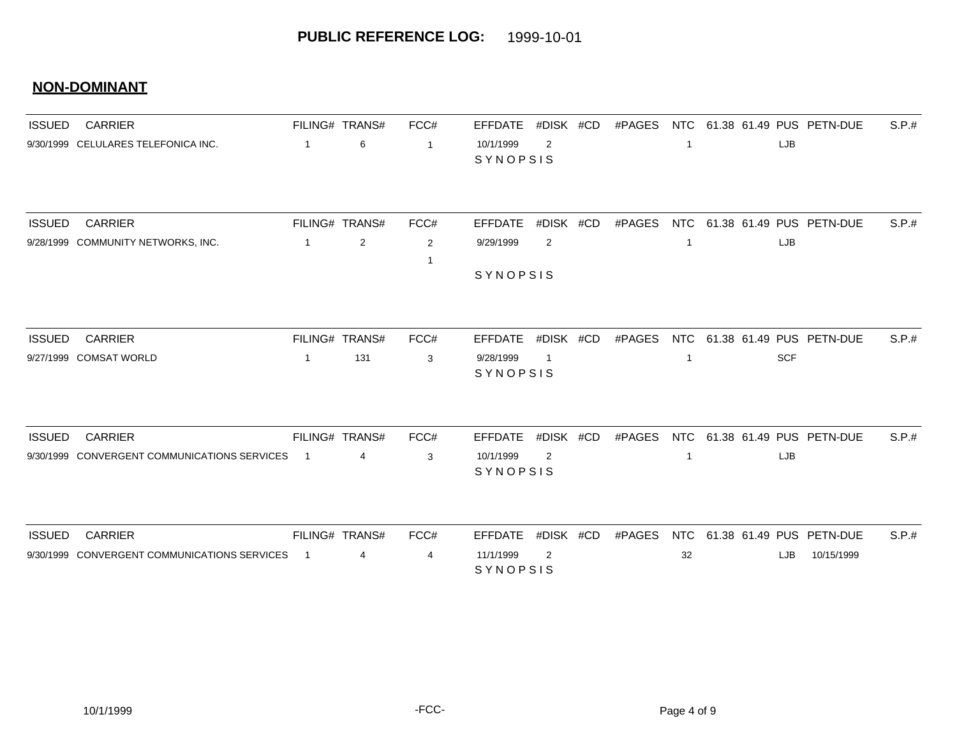| <b>ISSUED</b> | <b>CARRIER</b>                                                 |                | FILING# TRANS#        | FCC#           | <b>EFFDATE</b>                          | #DISK #CD      | #PAGES | <b>NTC</b>       |            | 61.38 61.49 PUS PETN-DUE | S.P.# |
|---------------|----------------------------------------------------------------|----------------|-----------------------|----------------|-----------------------------------------|----------------|--------|------------------|------------|--------------------------|-------|
|               | 9/30/1999 CELULARES TELEFONICA INC.                            | $\overline{1}$ | 6                     | $\overline{1}$ | 10/1/1999<br>SYNOPSIS                   | 2              |        | 1                | LJB        |                          |       |
| <b>ISSUED</b> | <b>CARRIER</b>                                                 |                | FILING# TRANS#        | FCC#           | <b>EFFDATE</b>                          | #DISK #CD      | #PAGES | <b>NTC</b>       |            | 61.38 61.49 PUS PETN-DUE | S.P.# |
|               | 9/28/1999 COMMUNITY NETWORKS, INC.                             | 1              | $\sqrt{2}$            | $\overline{2}$ | 9/29/1999                               | $\overline{2}$ |        | $\mathbf{1}$     | LJB        |                          |       |
|               |                                                                |                |                       |                | SYNOPSIS                                |                |        |                  |            |                          |       |
|               |                                                                |                |                       |                |                                         | #DISK #CD      |        |                  |            |                          |       |
| <b>ISSUED</b> | <b>CARRIER</b><br>9/27/1999 COMSAT WORLD                       | -1             | FILING# TRANS#<br>131 | FCC#<br>3      | <b>EFFDATE</b><br>9/28/1999<br>SYNOPSIS | -1             | #PAGES | <b>NTC</b><br>-1 | <b>SCF</b> | 61.38 61.49 PUS PETN-DUE | S.P.# |
|               |                                                                |                |                       |                |                                         |                |        |                  |            |                          |       |
| <b>ISSUED</b> | <b>CARRIER</b><br>9/30/1999 CONVERGENT COMMUNICATIONS SERVICES | $\overline{1}$ | FILING# TRANS#<br>4   | FCC#<br>3      | <b>EFFDATE</b><br>10/1/1999             | #DISK #CD<br>2 | #PAGES | <b>NTC</b><br>-1 | LJB        | 61.38 61.49 PUS PETN-DUE | S.P.# |
|               |                                                                |                |                       |                | SYNOPSIS                                |                |        |                  |            |                          |       |
| <b>ISSUED</b> | <b>CARRIER</b>                                                 |                | FILING# TRANS#        | FCC#           | <b>EFFDATE</b>                          | #DISK #CD      | #PAGES | <b>NTC</b>       |            | 61.38 61.49 PUS PETN-DUE | S.P.# |
|               | 9/30/1999 CONVERGENT COMMUNICATIONS SERVICES                   | -1             | 4                     | $\overline{4}$ | 11/1/1999<br>SYNOPSIS                   | 2              |        | 32               | LJB        | 10/15/1999               |       |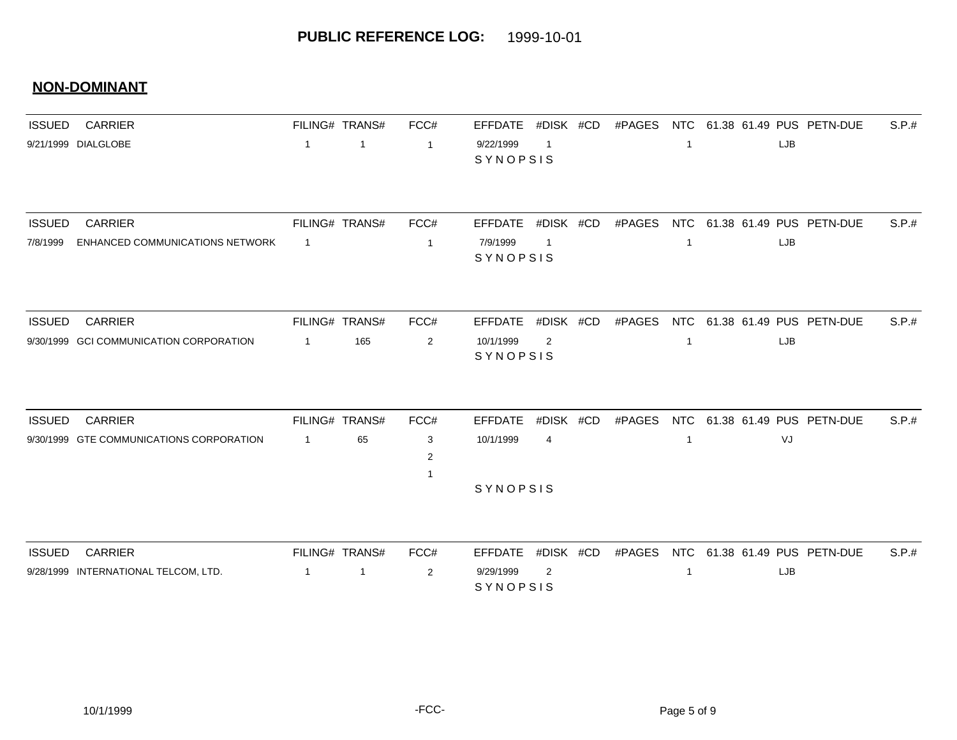| <b>ISSUED</b> | <b>CARRIER</b>                           |                | FILING# TRANS# | FCC#           | EFFDATE               | #DISK #CD      | #PAGES |                |     | NTC 61.38 61.49 PUS PETN-DUE        | S.P.t. |
|---------------|------------------------------------------|----------------|----------------|----------------|-----------------------|----------------|--------|----------------|-----|-------------------------------------|--------|
|               | 9/21/1999 DIALGLOBE                      | $\overline{1}$ | $\overline{1}$ | $\overline{1}$ | 9/22/1999<br>SYNOPSIS | $\overline{1}$ |        | $\mathbf{1}$   | LJB |                                     |        |
| <b>ISSUED</b> | <b>CARRIER</b>                           |                | FILING# TRANS# | FCC#           | <b>EFFDATE</b>        | #DISK #CD      | #PAGES | <b>NTC</b>     |     | 61.38 61.49 PUS PETN-DUE            | S.P.#  |
| 7/8/1999      | ENHANCED COMMUNICATIONS NETWORK          | $\overline{1}$ |                | $\overline{1}$ | 7/9/1999<br>SYNOPSIS  | $\overline{1}$ |        | $\mathbf{1}$   | LJB |                                     |        |
| <b>ISSUED</b> | <b>CARRIER</b>                           |                | FILING# TRANS# | FCC#           | <b>EFFDATE</b>        | #DISK #CD      |        |                |     | #PAGES NTC 61.38 61.49 PUS PETN-DUE | S.P.#  |
|               | 9/30/1999 GCI COMMUNICATION CORPORATION  | $\overline{1}$ | 165            | 2              | 10/1/1999<br>SYNOPSIS | 2              |        | $\overline{1}$ | LJB |                                     |        |
| <b>ISSUED</b> | <b>CARRIER</b>                           |                | FILING# TRANS# | FCC#           | <b>EFFDATE</b>        | #DISK #CD      | #PAGES |                |     | NTC 61.38 61.49 PUS PETN-DUE        | S.P.#  |
|               | 9/30/1999 GTE COMMUNICATIONS CORPORATION | $\overline{1}$ | 65             | 3<br>2<br>-1   | 10/1/1999             | $\overline{4}$ |        | $\mathbf{1}$   | VJ  |                                     |        |
|               |                                          |                |                |                | SYNOPSIS              |                |        |                |     |                                     |        |
| <b>ISSUED</b> | <b>CARRIER</b>                           |                | FILING# TRANS# | FCC#           | <b>EFFDATE</b>        | #DISK #CD      | #PAGES |                |     | NTC 61.38 61.49 PUS PETN-DUE        | S.P.#  |
|               | 9/28/1999 INTERNATIONAL TELCOM, LTD.     | $\overline{1}$ | $\mathbf{1}$   | $\overline{2}$ | 9/29/1999<br>SYNOPSIS | $\overline{2}$ |        | $\mathbf 1$    | LJB |                                     |        |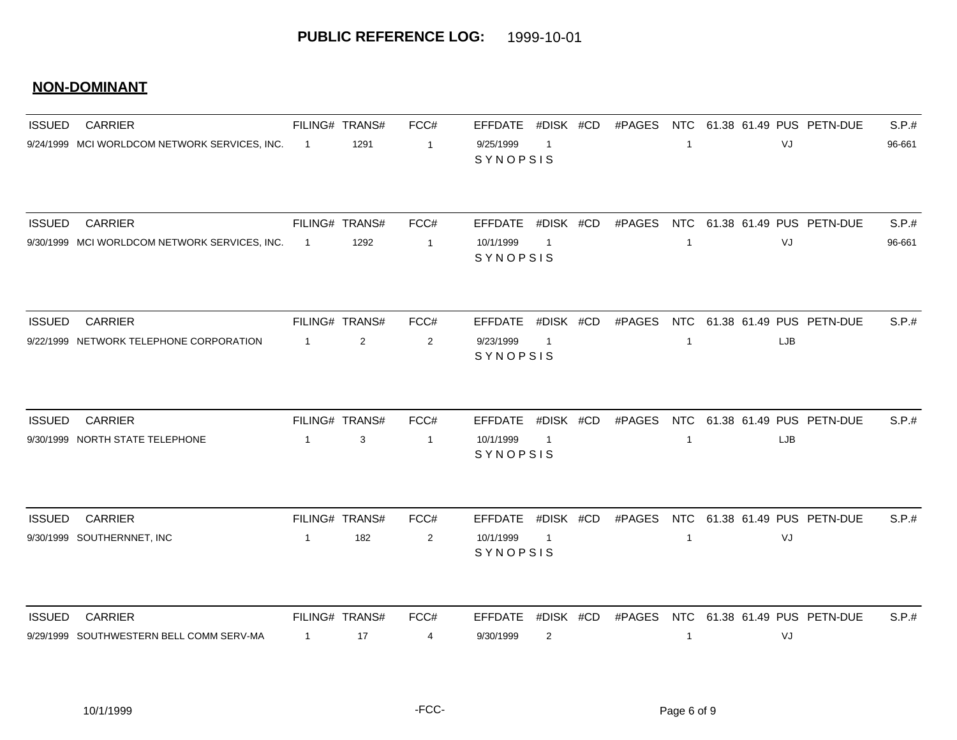| <b>ISSUED</b> | <b>CARRIER</b>                                    |                | FILING# TRANS#      | FCC#                 | <b>EFFDATE</b>                          | #DISK #CD                   | #PAGES | NTC                        |     | 61.38 61.49 PUS PETN-DUE     | S.P.#  |
|---------------|---------------------------------------------------|----------------|---------------------|----------------------|-----------------------------------------|-----------------------------|--------|----------------------------|-----|------------------------------|--------|
|               | 9/24/1999 MCI WORLDCOM NETWORK SERVICES, INC.     | $\overline{1}$ | 1291                | $\overline{1}$       | 9/25/1999<br>SYNOPSIS                   | -1                          |        | $\mathbf{1}$               | VJ  |                              | 96-661 |
|               |                                                   |                |                     |                      |                                         |                             |        |                            |     |                              |        |
| <b>ISSUED</b> | <b>CARRIER</b>                                    |                | FILING# TRANS#      | FCC#                 | EFFDATE #DISK #CD                       |                             | #PAGES | <b>NTC</b>                 |     | 61.38 61.49 PUS PETN-DUE     | S.P.#  |
|               | 9/30/1999 MCI WORLDCOM NETWORK SERVICES, INC.     | $\overline{1}$ | 1292                | $\overline{1}$       | 10/1/1999<br>SYNOPSIS                   | $\mathbf{1}$                |        | $\mathbf 1$                | VJ  |                              | 96-661 |
| <b>ISSUED</b> | <b>CARRIER</b>                                    |                | FILING# TRANS#      | FCC#                 | <b>EFFDATE</b>                          | #DISK #CD                   | #PAGES | <b>NTC</b>                 |     | 61.38 61.49 PUS PETN-DUE     | S.P.#  |
|               | 9/22/1999 NETWORK TELEPHONE CORPORATION           | $\overline{1}$ | $\overline{2}$      | 2                    | 9/23/1999<br>SYNOPSIS                   | $\overline{\mathbf{1}}$     |        | $\mathbf{1}$               | LJB |                              |        |
|               |                                                   |                |                     |                      |                                         |                             |        |                            |     |                              |        |
| <b>ISSUED</b> | <b>CARRIER</b><br>9/30/1999 NORTH STATE TELEPHONE | $\mathbf{1}$   | FILING# TRANS#<br>3 | FCC#<br>$\mathbf{1}$ | <b>EFFDATE</b><br>10/1/1999<br>SYNOPSIS | #DISK #CD<br>$\overline{1}$ | #PAGES | <b>NTC</b><br>$\mathbf{1}$ | LJB | 61.38 61.49 PUS PETN-DUE     | S.P.#  |
|               |                                                   |                |                     |                      |                                         |                             |        |                            |     |                              |        |
| <b>ISSUED</b> | <b>CARRIER</b>                                    |                | FILING# TRANS#      | FCC#                 | <b>EFFDATE</b>                          | #DISK #CD                   | #PAGES | <b>NTC</b>                 |     | 61.38 61.49 PUS PETN-DUE     | S.P.#  |
|               | 9/30/1999 SOUTHERNNET, INC                        | $\overline{1}$ | 182                 | $\overline{2}$       | 10/1/1999<br>SYNOPSIS                   | $\overline{1}$              |        | $\mathbf{1}$               | VJ  |                              |        |
| <b>ISSUED</b> | <b>CARRIER</b>                                    |                | FILING# TRANS#      | FCC#                 | <b>EFFDATE</b>                          | #DISK #CD                   | #PAGES |                            |     | NTC 61.38 61.49 PUS PETN-DUE | S.P.#  |
|               | 9/29/1999 SOUTHWESTERN BELL COMM SERV-MA          | $\overline{1}$ | 17                  | 4                    | 9/30/1999                               | $\overline{2}$              |        | 1                          | VJ  |                              |        |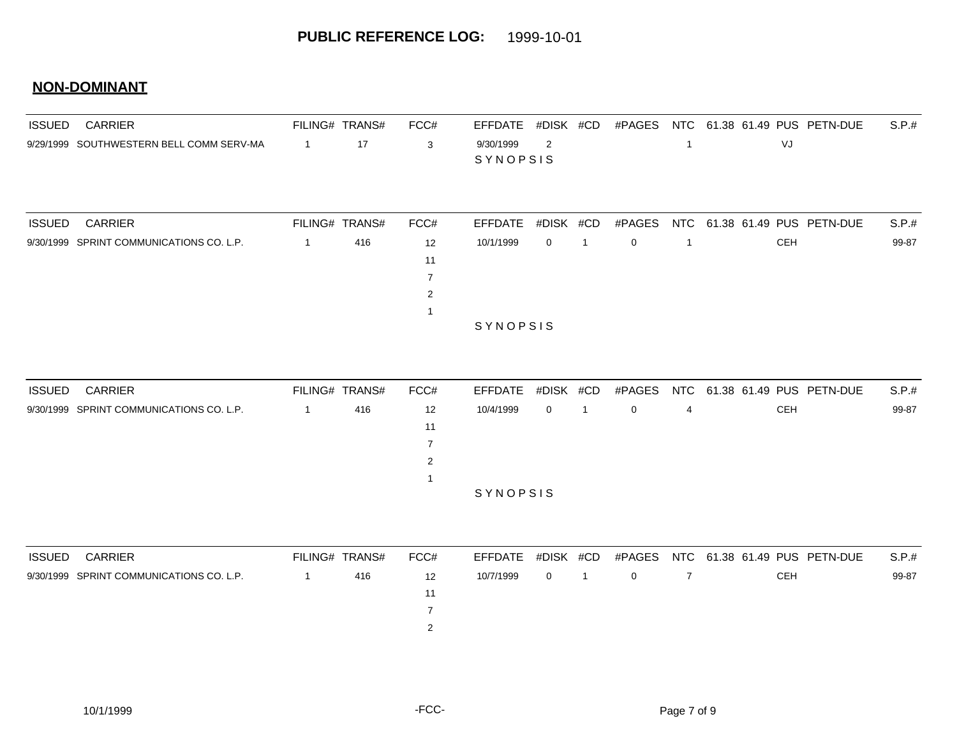| <b>ISSUED</b> | <b>CARRIER</b>                           |                | FILING# TRANS# | FCC# | EFFDATE         | #DISK #CD      | #PAGES      |  |                              | NTC 61.38 61.49 PUS PETN-DUE | S.P.# |
|---------------|------------------------------------------|----------------|----------------|------|-----------------|----------------|-------------|--|------------------------------|------------------------------|-------|
|               | 9/29/1999 SOUTHWESTERN BELL COMM SERV-MA | $\overline{1}$ | 17             | 3    | 9/30/1999       | $\overline{2}$ |             |  | VJ                           |                              |       |
|               |                                          |                |                |      | SYNOPSIS        |                |             |  |                              |                              |       |
|               |                                          |                |                |      |                 |                |             |  |                              |                              |       |
| <b>ISSUED</b> | <b>CARRIER</b>                           |                | FILING# TRANS# | FCC# | <b>EFFDATE</b>  | #DISK #CD      | #PAGES      |  | NTC 61.38 61.49 PUS PETN-DUE |                              | S.P.# |
|               | 9/30/1999 SPRINT COMMUNICATIONS CO. L.P. |                | 416            | 12   | 10/1/1999       | $\mathbf{0}$   | $\mathbf 0$ |  | <b>CEH</b>                   |                              | 99-87 |
|               |                                          |                |                | 11   |                 |                |             |  |                              |                              |       |
|               |                                          |                |                |      |                 |                |             |  |                              |                              |       |
|               |                                          |                |                | 2    |                 |                |             |  |                              |                              |       |
|               |                                          |                |                |      |                 |                |             |  |                              |                              |       |
|               |                                          |                |                |      | <b>SYNOPSIS</b> |                |             |  |                              |                              |       |

| <b>ISSUED</b> | CARRIER                                  | FILING# TRANS# |     | FCC#              | EFFDATE #DISK #CD |                | #PAGES         |   | NTC 61.38 61.49 PUS PETN-DUE | S.P.# |
|---------------|------------------------------------------|----------------|-----|-------------------|-------------------|----------------|----------------|---|------------------------------|-------|
|               | 9/30/1999 SPRINT COMMUNICATIONS CO. L.P. |                | 416 | $12 \overline{ }$ | 10/4/1999         | $\overline{0}$ | $\overline{0}$ | 4 | CEH                          | 99-87 |
|               |                                          |                |     | 11                |                   |                |                |   |                              |       |
|               |                                          |                |     |                   |                   |                |                |   |                              |       |
|               |                                          |                |     | $\mathcal{D}$     |                   |                |                |   |                              |       |
|               |                                          |                |     |                   |                   |                |                |   |                              |       |
|               |                                          |                |     |                   | <b>SYNOPSIS</b>   |                |                |   |                              |       |

| <b>ISSUED</b> | <b>CARRIER</b>                           | FILING# TRANS# | FCC# |           |              |          | EFFDATE #DISK #CD #PAGES NTC 61.38 61.49 PUS PETN-DUE | S.P.# |
|---------------|------------------------------------------|----------------|------|-----------|--------------|----------|-------------------------------------------------------|-------|
|               | 9/30/1999 SPRINT COMMUNICATIONS CO. L.P. | 416            | 12   | 10/7/1999 | $0 \qquad 1$ | $\Omega$ | <b>CEH</b>                                            | 99-87 |
|               |                                          |                |      |           |              |          |                                                       |       |
|               |                                          |                |      |           |              |          |                                                       |       |
|               |                                          |                |      |           |              |          |                                                       |       |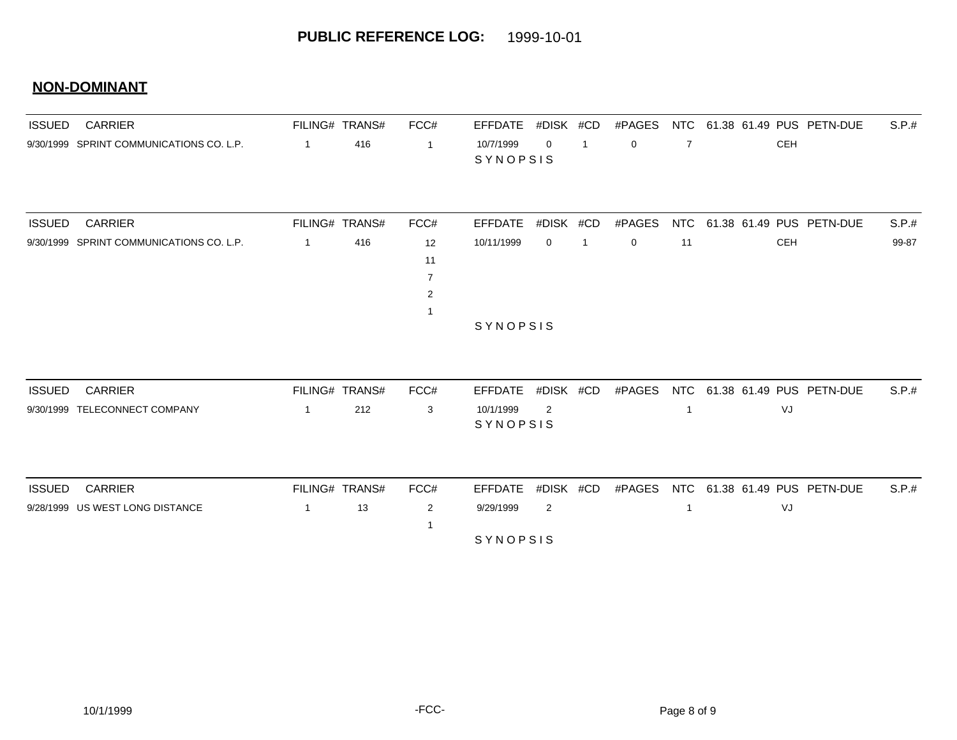| <b>ISSUED</b> | <b>CARRIER</b><br>9/30/1999 SPRINT COMMUNICATIONS CO. L.P. |                                | FILING# TRANS# | FCC#                            | <b>EFFDATE</b><br>10/7/1999<br>SYNOPSIS | #DISK #CD<br>$\Omega$ | $\mathbf{1}$   | #PAGES<br>$\mathbf 0$ | NTC<br>$\overline{7}$ |  | 61.38 61.49 PUS PETN-DUE       |                              | S.P.# |
|---------------|------------------------------------------------------------|--------------------------------|----------------|---------------------------------|-----------------------------------------|-----------------------|----------------|-----------------------|-----------------------|--|--------------------------------|------------------------------|-------|
|               |                                                            | $\overline{1}$                 | 416            | $\overline{1}$                  |                                         |                       |                |                       |                       |  | <b>CEH</b>                     |                              |       |
| <b>ISSUED</b> | <b>CARRIER</b>                                             | FILING# TRANS#                 |                | FCC#                            | <b>EFFDATE</b>                          | #DISK #CD             |                | #PAGES                | <b>NTC</b>            |  |                                | 61.38 61.49 PUS PETN-DUE     | S.P.# |
|               | 9/30/1999 SPRINT COMMUNICATIONS CO. L.P.                   | $\overline{1}$                 | 416            | 12<br>11<br>$\overline{7}$<br>2 | 10/11/1999                              | 0                     | $\overline{1}$ | 0                     | 11                    |  | <b>CEH</b>                     |                              | 99-87 |
|               |                                                            |                                |                |                                 |                                         | SYNOPSIS              |                |                       |                       |  |                                |                              |       |
| <b>ISSUED</b> | <b>CARRIER</b><br>9/30/1999 TELECONNECT COMPANY            | FILING# TRANS#<br>$\mathbf{1}$ | 212            | FCC#<br>3                       | <b>EFFDATE</b><br>10/1/1999<br>SYNOPSIS | #DISK #CD<br>2        |                | #PAGES                | NTC<br>$\mathbf{1}$   |  | 61.38 61.49 PUS PETN-DUE<br>VJ |                              | S.P.# |
| <b>ISSUED</b> | <b>CARRIER</b><br>9/28/1999 US WEST LONG DISTANCE          | FILING# TRANS#<br>$\mathbf{1}$ | 13             | FCC#<br>$\overline{2}$          | <b>EFFDATE</b><br>9/29/1999<br>SYNOPSIS | #DISK #CD<br>2        |                | #PAGES                | 1                     |  | VJ                             | NTC 61.38 61.49 PUS PETN-DUE | S.P.# |